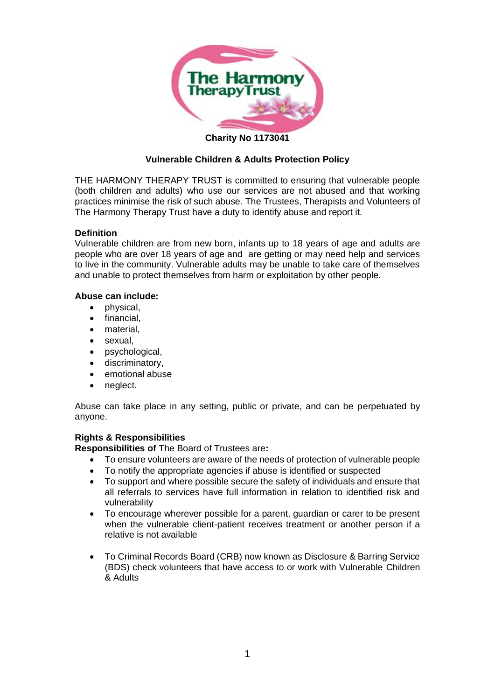

#### **Charity No 1173041**

# **Vulnerable Children & Adults Protection Policy**

THE HARMONY THERAPY TRUST is committed to ensuring that vulnerable people (both children and adults) who use our services are not abused and that working practices minimise the risk of such abuse. The Trustees, Therapists and Volunteers of The Harmony Therapy Trust have a duty to identify abuse and report it.

### **Definition**

Vulnerable children are from new born, infants up to 18 years of age and adults are people who are over 18 years of age and are getting or may need help and services to live in the community. Vulnerable adults may be unable to take care of themselves and unable to protect themselves from harm or exploitation by other people.

### **Abuse can include:**

- physical,
- financial.
- material,
- sexual.
- psychological,
- discriminatory,
- emotional abuse
- neglect.

Abuse can take place in any setting, public or private, and can be perpetuated by anyone.

# **Rights & Responsibilities**

**Responsibilities of** The Board of Trustees are**:**

- To ensure volunteers are aware of the needs of protection of vulnerable people
- To notify the appropriate agencies if abuse is identified or suspected
- To support and where possible secure the safety of individuals and ensure that all referrals to services have full information in relation to identified risk and vulnerability
- To encourage wherever possible for a parent, guardian or carer to be present when the vulnerable client-patient receives treatment or another person if a relative is not available
- To Criminal Records Board (CRB) now known as Disclosure & Barring Service (BDS) check volunteers that have access to or work with Vulnerable Children & Adults